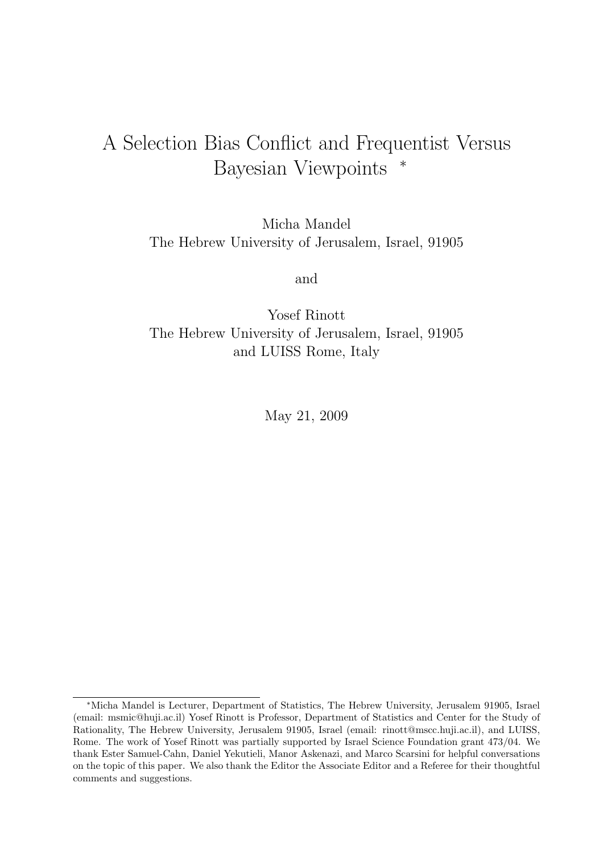# A Selection Bias Conflict and Frequentist Versus Bayesian Viewpoints <sup>∗</sup>

Micha Mandel The Hebrew University of Jerusalem, Israel, 91905

and

Yosef Rinott The Hebrew University of Jerusalem, Israel, 91905 and LUISS Rome, Italy

May 21, 2009

<sup>∗</sup>Micha Mandel is Lecturer, Department of Statistics, The Hebrew University, Jerusalem 91905, Israel (email: msmic@huji.ac.il) Yosef Rinott is Professor, Department of Statistics and Center for the Study of Rationality, The Hebrew University, Jerusalem 91905, Israel (email: rinott@mscc.huji.ac.il), and LUISS, Rome. The work of Yosef Rinott was partially supported by Israel Science Foundation grant 473/04. We thank Ester Samuel-Cahn, Daniel Yekutieli, Manor Askenazi, and Marco Scarsini for helpful conversations on the topic of this paper. We also thank the Editor the Associate Editor and a Referee for their thoughtful comments and suggestions.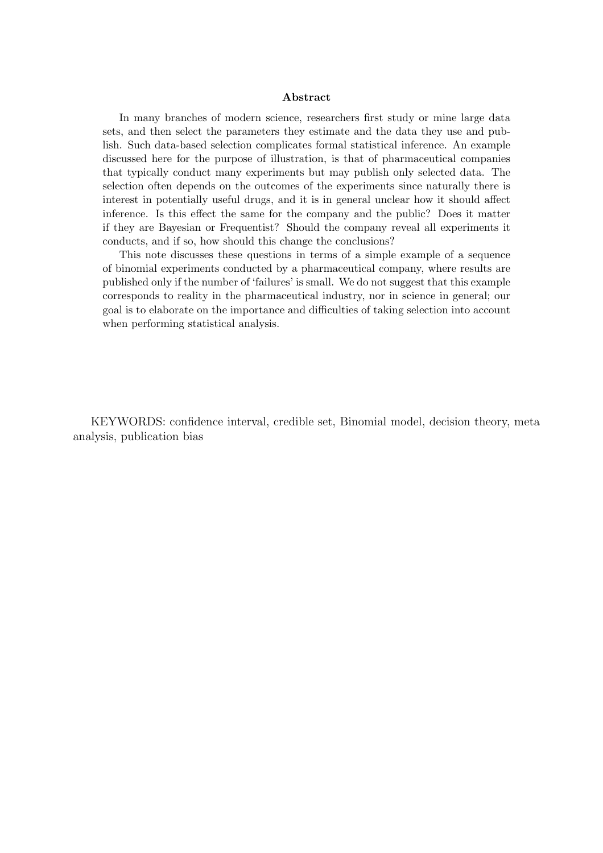#### Abstract

In many branches of modern science, researchers first study or mine large data sets, and then select the parameters they estimate and the data they use and publish. Such data-based selection complicates formal statistical inference. An example discussed here for the purpose of illustration, is that of pharmaceutical companies that typically conduct many experiments but may publish only selected data. The selection often depends on the outcomes of the experiments since naturally there is interest in potentially useful drugs, and it is in general unclear how it should affect inference. Is this effect the same for the company and the public? Does it matter if they are Bayesian or Frequentist? Should the company reveal all experiments it conducts, and if so, how should this change the conclusions?

This note discusses these questions in terms of a simple example of a sequence of binomial experiments conducted by a pharmaceutical company, where results are published only if the number of 'failures' is small. We do not suggest that this example corresponds to reality in the pharmaceutical industry, nor in science in general; our goal is to elaborate on the importance and difficulties of taking selection into account when performing statistical analysis.

KEYWORDS: confidence interval, credible set, Binomial model, decision theory, meta analysis, publication bias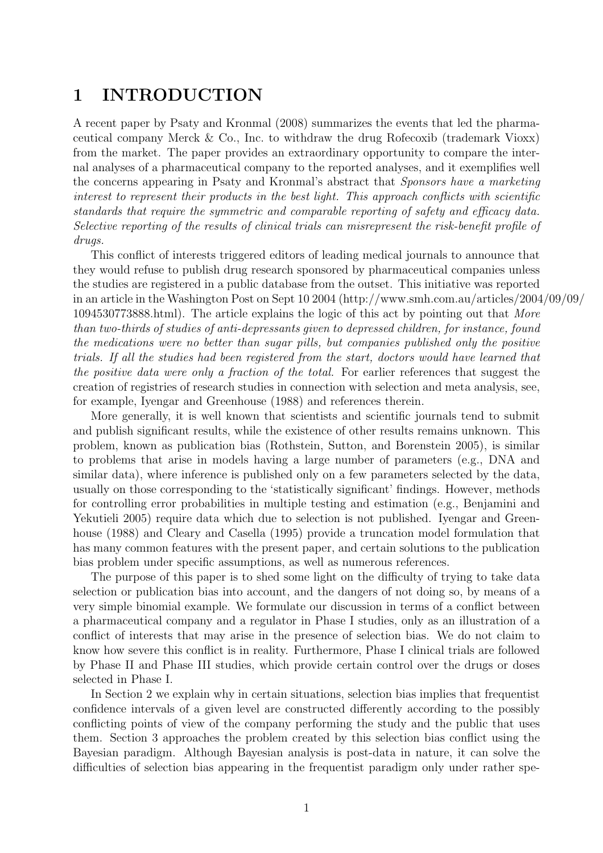### 1 INTRODUCTION

A recent paper by Psaty and Kronmal (2008) summarizes the events that led the pharmaceutical company Merck & Co., Inc. to withdraw the drug Rofecoxib (trademark Vioxx) from the market. The paper provides an extraordinary opportunity to compare the internal analyses of a pharmaceutical company to the reported analyses, and it exemplifies well the concerns appearing in Psaty and Kronmal's abstract that Sponsors have a marketing interest to represent their products in the best light. This approach conflicts with scientific standards that require the symmetric and comparable reporting of safety and efficacy data. Selective reporting of the results of clinical trials can misrepresent the risk-benefit profile of drugs.

This conflict of interests triggered editors of leading medical journals to announce that they would refuse to publish drug research sponsored by pharmaceutical companies unless the studies are registered in a public database from the outset. This initiative was reported in an article in the Washington Post on Sept 10 2004 (http://www.smh.com.au/articles/2004/09/09/ 1094530773888.html). The article explains the logic of this act by pointing out that More than two-thirds of studies of anti-depressants given to depressed children, for instance, found the medications were no better than sugar pills, but companies published only the positive trials. If all the studies had been registered from the start, doctors would have learned that the positive data were only a fraction of the total. For earlier references that suggest the creation of registries of research studies in connection with selection and meta analysis, see, for example, Iyengar and Greenhouse (1988) and references therein.

More generally, it is well known that scientists and scientific journals tend to submit and publish significant results, while the existence of other results remains unknown. This problem, known as publication bias (Rothstein, Sutton, and Borenstein 2005), is similar to problems that arise in models having a large number of parameters (e.g., DNA and similar data), where inference is published only on a few parameters selected by the data, usually on those corresponding to the 'statistically significant' findings. However, methods for controlling error probabilities in multiple testing and estimation (e.g., Benjamini and Yekutieli 2005) require data which due to selection is not published. Iyengar and Greenhouse (1988) and Cleary and Casella (1995) provide a truncation model formulation that has many common features with the present paper, and certain solutions to the publication bias problem under specific assumptions, as well as numerous references.

The purpose of this paper is to shed some light on the difficulty of trying to take data selection or publication bias into account, and the dangers of not doing so, by means of a very simple binomial example. We formulate our discussion in terms of a conflict between a pharmaceutical company and a regulator in Phase I studies, only as an illustration of a conflict of interests that may arise in the presence of selection bias. We do not claim to know how severe this conflict is in reality. Furthermore, Phase I clinical trials are followed by Phase II and Phase III studies, which provide certain control over the drugs or doses selected in Phase I.

In Section 2 we explain why in certain situations, selection bias implies that frequentist confidence intervals of a given level are constructed differently according to the possibly conflicting points of view of the company performing the study and the public that uses them. Section 3 approaches the problem created by this selection bias conflict using the Bayesian paradigm. Although Bayesian analysis is post-data in nature, it can solve the difficulties of selection bias appearing in the frequentist paradigm only under rather spe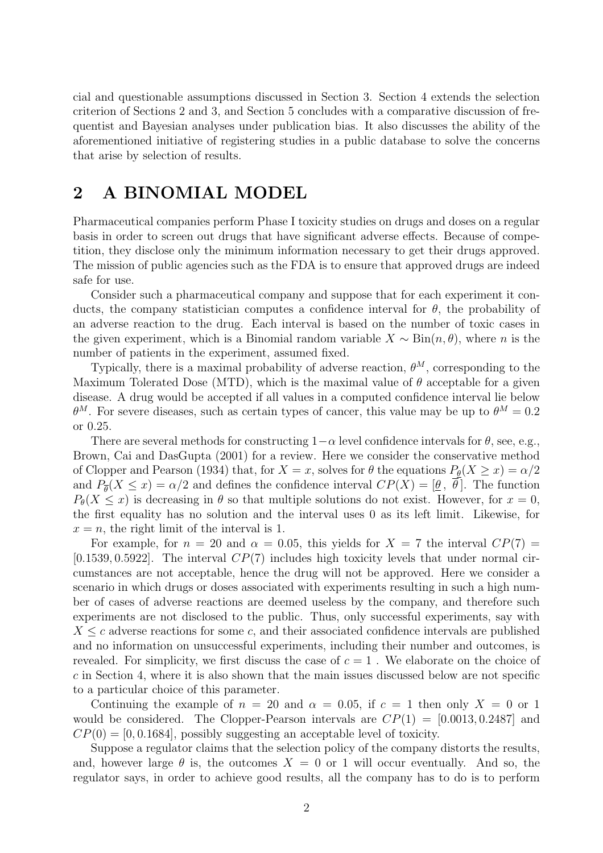cial and questionable assumptions discussed in Section 3. Section 4 extends the selection criterion of Sections 2 and 3, and Section 5 concludes with a comparative discussion of frequentist and Bayesian analyses under publication bias. It also discusses the ability of the aforementioned initiative of registering studies in a public database to solve the concerns that arise by selection of results.

#### 2 A BINOMIAL MODEL

Pharmaceutical companies perform Phase I toxicity studies on drugs and doses on a regular basis in order to screen out drugs that have significant adverse effects. Because of competition, they disclose only the minimum information necessary to get their drugs approved. The mission of public agencies such as the FDA is to ensure that approved drugs are indeed safe for use.

Consider such a pharmaceutical company and suppose that for each experiment it conducts, the company statistician computes a confidence interval for  $\theta$ , the probability of an adverse reaction to the drug. Each interval is based on the number of toxic cases in the given experiment, which is a Binomial random variable  $X \sim Bin(n, \theta)$ , where n is the number of patients in the experiment, assumed fixed.

Typically, there is a maximal probability of adverse reaction,  $\theta^M$ , corresponding to the Maximum Tolerated Dose (MTD), which is the maximal value of  $\theta$  acceptable for a given disease. A drug would be accepted if all values in a computed confidence interval lie below  $\theta^M$ . For severe diseases, such as certain types of cancer, this value may be up to  $\theta^M = 0.2$ or 0.25.

There are several methods for constructing  $1-\alpha$  level confidence intervals for  $\theta$ , see, e.g., Brown, Cai and DasGupta (2001) for a review. Here we consider the conservative method of Clopper and Pearson (1934) that, for  $X = x$ , solves for  $\theta$  the equations  $P_{\theta}(X \geq x) = \alpha/2$ and  $P_{\overline{\theta}}(X \leq x) = \alpha/2$  and defines the confidence interval  $CP(X) = [\underline{\theta}, \overline{\theta}]$ . The function  $P_{\theta}(X \leq x)$  is decreasing in  $\theta$  so that multiple solutions do not exist. However, for  $x = 0$ , the first equality has no solution and the interval uses 0 as its left limit. Likewise, for  $x = n$ , the right limit of the interval is 1.

For example, for  $n = 20$  and  $\alpha = 0.05$ , this yields for  $X = 7$  the interval  $CP(7) =$ [0.1539, 0.5922]. The interval  $CP(7)$  includes high toxicity levels that under normal circumstances are not acceptable, hence the drug will not be approved. Here we consider a scenario in which drugs or doses associated with experiments resulting in such a high number of cases of adverse reactions are deemed useless by the company, and therefore such experiments are not disclosed to the public. Thus, only successful experiments, say with  $X \leq c$  adverse reactions for some c, and their associated confidence intervals are published and no information on unsuccessful experiments, including their number and outcomes, is revealed. For simplicity, we first discuss the case of  $c = 1$ . We elaborate on the choice of  $c$  in Section 4, where it is also shown that the main issues discussed below are not specific to a particular choice of this parameter.

Continuing the example of  $n = 20$  and  $\alpha = 0.05$ , if  $c = 1$  then only  $X = 0$  or 1 would be considered. The Clopper-Pearson intervals are  $CP(1) = [0.0013, 0.2487]$  and  $CP(0) = [0, 0.1684]$ , possibly suggesting an acceptable level of toxicity.

Suppose a regulator claims that the selection policy of the company distorts the results, and, however large  $\theta$  is, the outcomes  $X = 0$  or 1 will occur eventually. And so, the regulator says, in order to achieve good results, all the company has to do is to perform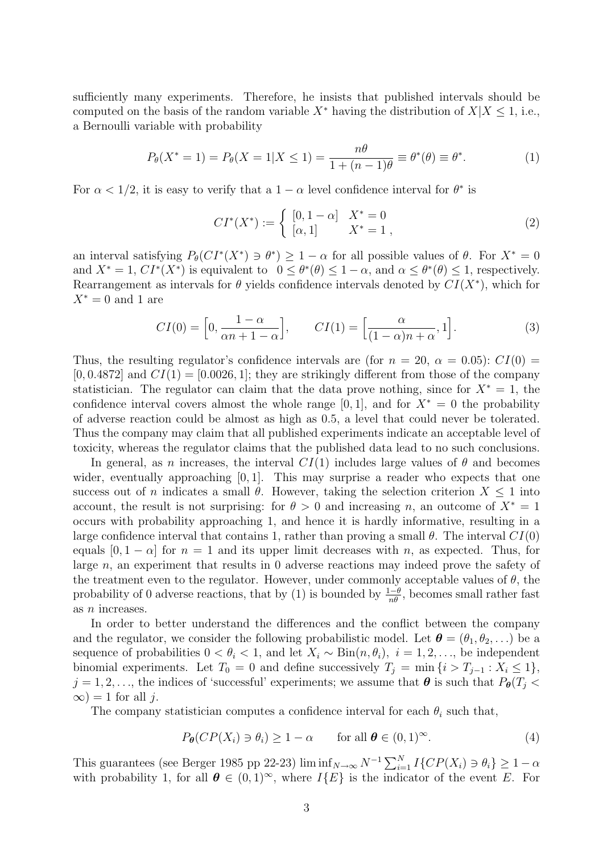sufficiently many experiments. Therefore, he insists that published intervals should be computed on the basis of the random variable  $X^*$  having the distribution of  $X|X \leq 1$ , i.e., a Bernoulli variable with probability

$$
P_{\theta}(X^* = 1) = P_{\theta}(X = 1 | X \le 1) = \frac{n\theta}{1 + (n - 1)\theta} \equiv \theta^*(\theta) \equiv \theta^*.
$$
 (1)

For  $\alpha < 1/2$ , it is easy to verify that a  $1 - \alpha$  level confidence interval for  $\theta^*$  is

$$
CI^*(X^*) := \begin{cases} [0, 1 - \alpha] & X^* = 0\\ [\alpha, 1] & X^* = 1 \end{cases}
$$
 (2)

an interval satisfying  $P_{\theta}(CI^*(X^*) \ni \theta^*) \geq 1 - \alpha$  for all possible values of  $\theta$ . For  $X^* = 0$ and  $X^* = 1$ ,  $CI^*(X^*)$  is equivalent to  $0 \leq \theta^*(\theta) \leq 1 - \alpha$ , and  $\alpha \leq \theta^*(\theta) \leq 1$ , respectively. Rearrangement as intervals for  $\theta$  yields confidence intervals denoted by  $CI(X^*)$ , which for  $X^* = 0$  and 1 are

$$
CI(0) = \left[0, \frac{1-\alpha}{\alpha n + 1 - \alpha}\right], \qquad CI(1) = \left[\frac{\alpha}{(1-\alpha)n + \alpha}, 1\right].
$$
 (3)

Thus, the resulting regulator's confidence intervals are (for  $n = 20$ ,  $\alpha = 0.05$ ):  $CI(0)$  =  $[0, 0.4872]$  and  $CI(1) = [0.0026, 1]$ ; they are strikingly different from those of the company statistician. The regulator can claim that the data prove nothing, since for  $X^* = 1$ , the confidence interval covers almost the whole range [0, 1], and for  $X^* = 0$  the probability of adverse reaction could be almost as high as 0.5, a level that could never be tolerated. Thus the company may claim that all published experiments indicate an acceptable level of toxicity, whereas the regulator claims that the published data lead to no such conclusions.

In general, as n increases, the interval  $CI(1)$  includes large values of  $\theta$  and becomes wider, eventually approaching  $[0, 1]$ . This may surprise a reader who expects that one success out of n indicates a small  $\theta$ . However, taking the selection criterion  $X \leq 1$  into account, the result is not surprising: for  $\theta > 0$  and increasing n, an outcome of  $X^* = 1$ occurs with probability approaching 1, and hence it is hardly informative, resulting in a large confidence interval that contains 1, rather than proving a small  $\theta$ . The interval  $CI(0)$ equals  $[0, 1 - \alpha]$  for  $n = 1$  and its upper limit decreases with n, as expected. Thus, for large n, an experiment that results in 0 adverse reactions may indeed prove the safety of the treatment even to the regulator. However, under commonly acceptable values of  $\theta$ , the probability of 0 adverse reactions, that by (1) is bounded by  $\frac{1-\theta}{n\theta}$ , becomes small rather fast as n increases.

In order to better understand the differences and the conflict between the company and the regulator, we consider the following probabilistic model. Let  $\boldsymbol{\theta} = (\theta_1, \theta_2, \dots)$  be a sequence of probabilities  $0 < \theta_i < 1$ , and let  $X_i \sim Bin(n, \theta_i)$ ,  $i = 1, 2, \ldots$ , be independent binomial experiments. Let  $T_0 = 0$  and define successively  $T_j = \min\{i > T_{j-1} : X_i \leq 1\},$  $j = 1, 2, \ldots$ , the indices of 'successful' experiments; we assume that  $\theta$  is such that  $P_{\theta}(T_j \leq$  $\infty$ ) = 1 for all *j*.

The company statistician computes a confidence interval for each  $\theta_i$  such that,

$$
P_{\theta}(CP(X_i) \ni \theta_i) \ge 1 - \alpha \qquad \text{for all } \theta \in (0,1)^\infty. \tag{4}
$$

This guarantees (see Berger 1985 pp 22-23)  $\liminf_{N\to\infty} N^{-1} \sum_{i=1}^N I\{CP(X_i) \ni \theta_i\} \geq 1-\alpha$ with probability 1, for all  $\boldsymbol{\theta} \in (0,1)^\infty$ , where  $I\{E\}$  is the indicator of the event E. For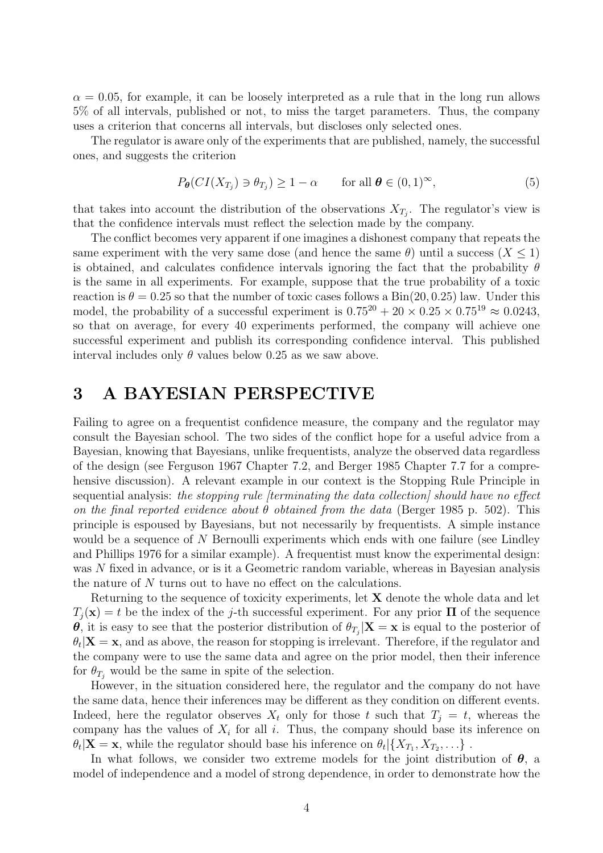$\alpha = 0.05$ , for example, it can be loosely interpreted as a rule that in the long run allows 5% of all intervals, published or not, to miss the target parameters. Thus, the company uses a criterion that concerns all intervals, but discloses only selected ones.

The regulator is aware only of the experiments that are published, namely, the successful ones, and suggests the criterion

$$
P_{\theta}(CI(X_{T_j}) \ni \theta_{T_j}) \ge 1 - \alpha \qquad \text{for all } \theta \in (0,1)^{\infty}, \tag{5}
$$

that takes into account the distribution of the observations  $X_{T_j}$ . The regulator's view is that the confidence intervals must reflect the selection made by the company.

The conflict becomes very apparent if one imagines a dishonest company that repeats the same experiment with the very same dose (and hence the same  $\theta$ ) until a success (X < 1) is obtained, and calculates confidence intervals ignoring the fact that the probability  $\theta$ is the same in all experiments. For example, suppose that the true probability of a toxic reaction is  $\theta = 0.25$  so that the number of toxic cases follows a  $Bin(20, 0.25)$  law. Under this model, the probability of a successful experiment is  $0.75^{20} + 20 \times 0.25 \times 0.75^{19} \approx 0.0243$ , so that on average, for every 40 experiments performed, the company will achieve one successful experiment and publish its corresponding confidence interval. This published interval includes only  $\theta$  values below 0.25 as we saw above.

#### 3 A BAYESIAN PERSPECTIVE

Failing to agree on a frequentist confidence measure, the company and the regulator may consult the Bayesian school. The two sides of the conflict hope for a useful advice from a Bayesian, knowing that Bayesians, unlike frequentists, analyze the observed data regardless of the design (see Ferguson 1967 Chapter 7.2, and Berger 1985 Chapter 7.7 for a comprehensive discussion). A relevant example in our context is the Stopping Rule Principle in sequential analysis: the stopping rule [terminating the data collection] should have no effect on the final reported evidence about  $\theta$  obtained from the data (Berger 1985 p. 502). This principle is espoused by Bayesians, but not necessarily by frequentists. A simple instance would be a sequence of N Bernoulli experiments which ends with one failure (see Lindley and Phillips 1976 for a similar example). A frequentist must know the experimental design: was N fixed in advance, or is it a Geometric random variable, whereas in Bayesian analysis the nature of N turns out to have no effect on the calculations.

Returning to the sequence of toxicity experiments, let  $X$  denote the whole data and let  $T_i(\mathbf{x}) = t$  be the index of the j-th successful experiment. For any prior  $\Pi$  of the sequence  $\theta$ , it is easy to see that the posterior distribution of  $\theta_{T_j}|\mathbf{X}=\mathbf{x}$  is equal to the posterior of  $\theta_t|\mathbf{X}=\mathbf{x}$ , and as above, the reason for stopping is irrelevant. Therefore, if the regulator and the company were to use the same data and agree on the prior model, then their inference for  $\theta_{T_i}$  would be the same in spite of the selection.

However, in the situation considered here, the regulator and the company do not have the same data, hence their inferences may be different as they condition on different events. Indeed, here the regulator observes  $X_t$  only for those t such that  $T_i = t$ , whereas the company has the values of  $X_i$  for all i. Thus, the company should base its inference on  $\theta_t|\mathbf{X} = \mathbf{x}$ , while the regulator should base his inference on  $\theta_t | \{X_{T_1}, X_{T_2}, \ldots\}$ .

In what follows, we consider two extreme models for the joint distribution of  $\theta$ , a model of independence and a model of strong dependence, in order to demonstrate how the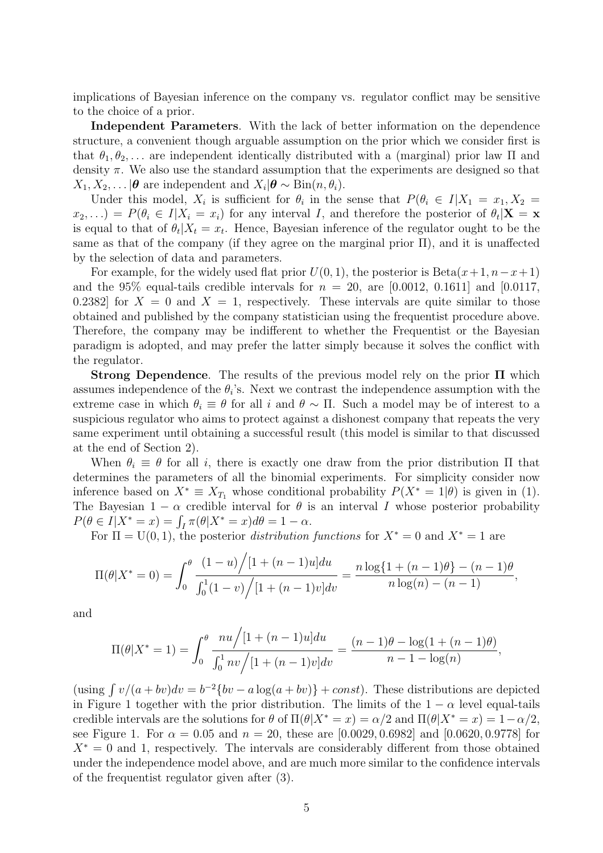implications of Bayesian inference on the company vs. regulator conflict may be sensitive to the choice of a prior.

Independent Parameters. With the lack of better information on the dependence structure, a convenient though arguable assumption on the prior which we consider first is that  $\theta_1, \theta_2, \ldots$  are independent identically distributed with a (marginal) prior law  $\Pi$  and density  $\pi$ . We also use the standard assumption that the experiments are designed so that  $X_1, X_2, \ldots | \theta$  are independent and  $X_i | \theta \sim \text{Bin}(n, \theta_i)$ .

Under this model,  $X_i$  is sufficient for  $\theta_i$  in the sense that  $P(\theta_i \in I | X_1 = x_1, X_2 =$  $(x_2, \ldots) = P(\theta_i \in I | X_i = x_i)$  for any interval I, and therefore the posterior of  $\theta_i | \mathbf{X} = \mathbf{x}_i$ is equal to that of  $\theta_t | X_t = x_t$ . Hence, Bayesian inference of the regulator ought to be the same as that of the company (if they agree on the marginal prior  $\Pi$ ), and it is unaffected by the selection of data and parameters.

For example, for the widely used flat prior  $U(0, 1)$ , the posterior is Beta $(x+1, n-x+1)$ and the 95% equal-tails credible intervals for  $n = 20$ , are [0.0012, 0.1611] and [0.0117, 0.2382 for  $X = 0$  and  $X = 1$ , respectively. These intervals are quite similar to those obtained and published by the company statistician using the frequentist procedure above. Therefore, the company may be indifferent to whether the Frequentist or the Bayesian paradigm is adopted, and may prefer the latter simply because it solves the conflict with the regulator.

**Strong Dependence.** The results of the previous model rely on the prior  $\Pi$  which assumes independence of the  $\theta_i$ 's. Next we contrast the independence assumption with the extreme case in which  $\theta_i \equiv \theta$  for all i and  $\theta \sim \Pi$ . Such a model may be of interest to a suspicious regulator who aims to protect against a dishonest company that repeats the very same experiment until obtaining a successful result (this model is similar to that discussed at the end of Section 2).

When  $\theta_i \equiv \theta$  for all i, there is exactly one draw from the prior distribution  $\Pi$  that determines the parameters of all the binomial experiments. For simplicity consider now inference based on  $X^* \equiv X_{T_1}$  whose conditional probability  $P(X^* = 1 | \theta)$  is given in (1). The Bayesian  $1 - \alpha$  credible interval for  $\theta$  is an interval I whose posterior probability The Bayesian  $1 - \alpha$  credible interval for  $\theta$  is<br>  $P(\theta \in I | X^* = x) = \int_I \pi(\theta | X^* = x) d\theta = 1 - \alpha.$ 

For  $\Pi = U(0, 1)$ , the posterior *distribution functions* for  $X^* = 0$  and  $X^* = 1$  are .

$$
\Pi(\theta|X^* = 0) = \int_0^{\theta} \frac{(1-u)\bigg/ [1 + (n-1)u] du}{\int_0^1 (1-v)\bigg/ [1 + (n-1)v] dv} = \frac{n \log\{1 + (n-1)\theta\} - (n-1)\theta}{n \log(n) - (n-1)},
$$

and

$$
\Pi(\theta|X^* = 1) = \int_0^{\theta} \frac{nu/[1 + (n-1)u]du}{\int_0^1 nv/[1 + (n-1)v]dv} = \frac{(n-1)\theta - \log(1 + (n-1)\theta)}{n-1 - \log(n)},
$$

(using  $\int v/(a + bv)dv = b^{-2}{bv - a \log(a + bv)} + const$ ). These distributions are depicted in Figure 1 together with the prior distribution. The limits of the  $1 - \alpha$  level equal-tails credible intervals are the solutions for  $\theta$  of  $\Pi(\theta|X^* = x) = \alpha/2$  and  $\Pi(\theta|X^* = x) = 1-\alpha/2$ , see Figure 1. For  $\alpha = 0.05$  and  $n = 20$ , these are [0.0029, 0.6982] and [0.0620, 0.9778] for  $X^* = 0$  and 1, respectively. The intervals are considerably different from those obtained under the independence model above, and are much more similar to the confidence intervals of the frequentist regulator given after (3).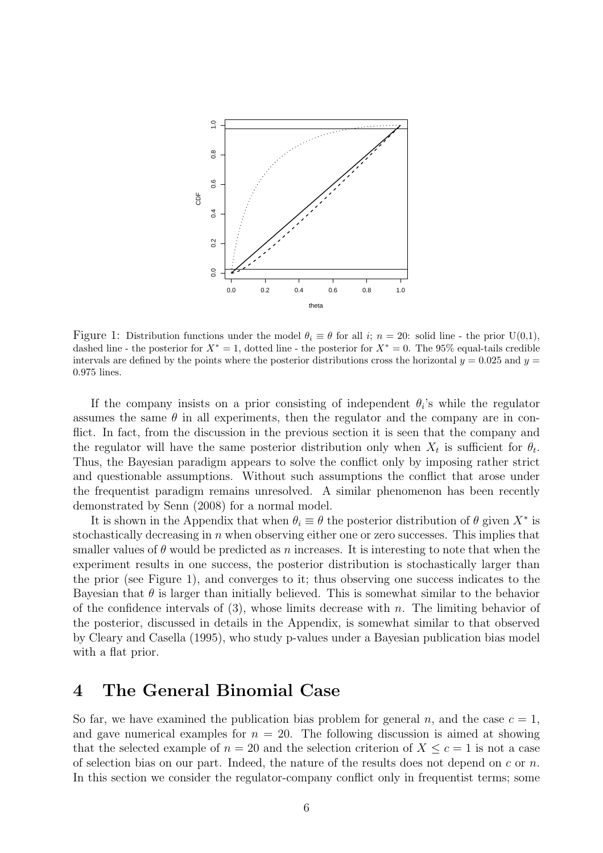

Figure 1: Distribution functions under the model  $\theta_i \equiv \theta$  for all i;  $n = 20$ : solid line - the prior U(0,1), dashed line - the posterior for  $X^* = 1$ , dotted line - the posterior for  $X^* = 0$ . The 95% equal-tails credible intervals are defined by the points where the posterior distributions cross the horizontal  $y = 0.025$  and  $y =$ 0.975 lines.

If the company insists on a prior consisting of independent  $\theta_i$ 's while the regulator assumes the same  $\theta$  in all experiments, then the regulator and the company are in conflict. In fact, from the discussion in the previous section it is seen that the company and the regulator will have the same posterior distribution only when  $X_t$  is sufficient for  $\theta_t$ . Thus, the Bayesian paradigm appears to solve the conflict only by imposing rather strict and questionable assumptions. Without such assumptions the conflict that arose under the frequentist paradigm remains unresolved. A similar phenomenon has been recently demonstrated by Senn (2008) for a normal model.

It is shown in the Appendix that when  $\theta_i \equiv \theta$  the posterior distribution of  $\theta$  given  $X^*$  is stochastically decreasing in  $n$  when observing either one or zero successes. This implies that smaller values of  $\theta$  would be predicted as n increases. It is interesting to note that when the experiment results in one success, the posterior distribution is stochastically larger than the prior (see Figure 1), and converges to it; thus observing one success indicates to the Bayesian that  $\theta$  is larger than initially believed. This is somewhat similar to the behavior of the confidence intervals of  $(3)$ , whose limits decrease with n. The limiting behavior of the posterior, discussed in details in the Appendix, is somewhat similar to that observed by Cleary and Casella (1995), who study p-values under a Bayesian publication bias model with a flat prior.

#### 4 The General Binomial Case

So far, we have examined the publication bias problem for general n, and the case  $c = 1$ , and gave numerical examples for  $n = 20$ . The following discussion is aimed at showing that the selected example of  $n = 20$  and the selection criterion of  $X \leq c = 1$  is not a case of selection bias on our part. Indeed, the nature of the results does not depend on  $c$  or  $n$ . In this section we consider the regulator-company conflict only in frequentist terms; some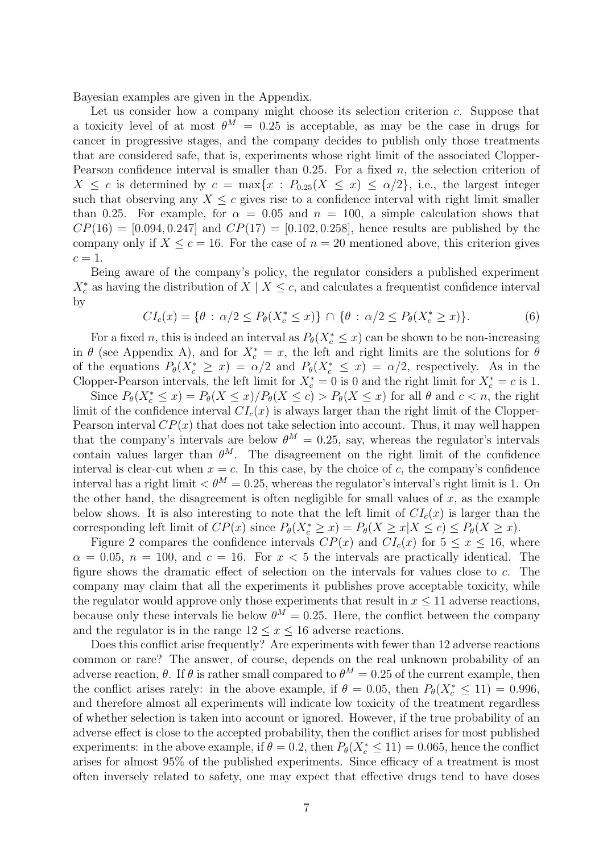Bayesian examples are given in the Appendix.

Let us consider how a company might choose its selection criterion  $c$ . Suppose that a toxicity level of at most  $\theta^M = 0.25$  is acceptable, as may be the case in drugs for cancer in progressive stages, and the company decides to publish only those treatments that are considered safe, that is, experiments whose right limit of the associated Clopper-Pearson confidence interval is smaller than 0.25. For a fixed  $n$ , the selection criterion of  $X \leq c$  is determined by  $c = \max\{x : P_{0.25}(X \leq x) \leq \alpha/2\}$ , i.e., the largest integer such that observing any  $X \leq c$  gives rise to a confidence interval with right limit smaller than 0.25. For example, for  $\alpha = 0.05$  and  $n = 100$ , a simple calculation shows that  $CP(16) = [0.094, 0.247]$  and  $CP(17) = [0.102, 0.258]$ , hence results are published by the company only if  $X \leq c = 16$ . For the case of  $n = 20$  mentioned above, this criterion gives  $c=1$ .

Being aware of the company's policy, the regulator considers a published experiment  $X_c^*$  as having the distribution of  $X \mid X \leq c$ , and calculates a frequentist confidence interval by

$$
CI_c(x) = \{ \theta : \alpha/2 \le P_{\theta}(X_c^* \le x) \} \cap \{ \theta : \alpha/2 \le P_{\theta}(X_c^* \ge x) \}.
$$
 (6)

For a fixed n, this is indeed an interval as  $P_{\theta}(X_c^* \leq x)$  can be shown to be non-increasing in  $\theta$  (see Appendix A), and for  $X_c^* = x$ , the left and right limits are the solutions for  $\theta$ of the equations  $P_{\theta}(X_c^* \geq x) = \alpha/2$  and  $P_{\theta}(X_c^* \leq x) = \alpha/2$ , respectively. As in the Clopper-Pearson intervals, the left limit for  $X_c^* = 0$  is 0 and the right limit for  $X_c^* = c$  is 1.

Since  $P_{\theta}(X_c^* \leq x) = P_{\theta}(X \leq x) / P_{\theta}(X \leq c) > P_{\theta}(X \leq x)$  for all  $\theta$  and  $c < n$ , the right limit of the confidence interval  $CI_c(x)$  is always larger than the right limit of the Clopper-Pearson interval  $CP(x)$  that does not take selection into account. Thus, it may well happen that the company's intervals are below  $\theta^M = 0.25$ , say, whereas the regulator's intervals contain values larger than  $\theta^M$ . The disagreement on the right limit of the confidence interval is clear-cut when  $x = c$ . In this case, by the choice of c, the company's confidence interval has a right limit  $\langle \theta^M = 0.25$ , whereas the regulator's interval's right limit is 1. On the other hand, the disagreement is often negligible for small values of  $x$ , as the example below shows. It is also interesting to note that the left limit of  $CI_c(x)$  is larger than the corresponding left limit of  $CP(x)$  since  $P_{\theta}(X_c^* \geq x) = P_{\theta}(X \geq x | X \leq c) \leq P_{\theta}(X \geq x)$ .

Figure 2 compares the confidence intervals  $CP(x)$  and  $CI_c(x)$  for  $5 \le x \le 16$ , where  $\alpha = 0.05$ ,  $n = 100$ , and  $c = 16$ . For  $x < 5$  the intervals are practically identical. The figure shows the dramatic effect of selection on the intervals for values close to c. The company may claim that all the experiments it publishes prove acceptable toxicity, while the regulator would approve only those experiments that result in  $x \leq 11$  adverse reactions, because only these intervals lie below  $\theta^M = 0.25$ . Here, the conflict between the company and the regulator is in the range  $12 \leq x \leq 16$  adverse reactions.

Does this conflict arise frequently? Are experiments with fewer than 12 adverse reactions common or rare? The answer, of course, depends on the real unknown probability of an adverse reaction,  $\theta$ . If  $\theta$  is rather small compared to  $\theta^M = 0.25$  of the current example, then the conflict arises rarely: in the above example, if  $\theta = 0.05$ , then  $P_{\theta}(X_c^* \le 11) = 0.996$ , and therefore almost all experiments will indicate low toxicity of the treatment regardless of whether selection is taken into account or ignored. However, if the true probability of an adverse effect is close to the accepted probability, then the conflict arises for most published experiments: in the above example, if  $\theta = 0.2$ , then  $P_{\theta}(X_c^* \le 11) = 0.065$ , hence the conflict arises for almost 95% of the published experiments. Since efficacy of a treatment is most often inversely related to safety, one may expect that effective drugs tend to have doses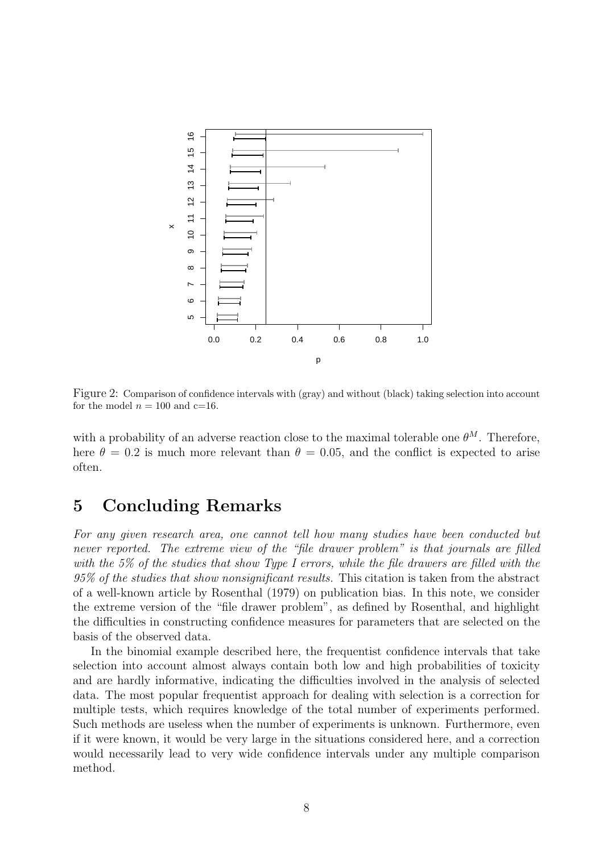

Figure 2: Comparison of confidence intervals with (gray) and without (black) taking selection into account for the model  $n = 100$  and c=16.

with a probability of an adverse reaction close to the maximal tolerable one  $\theta^M$ . Therefore, here  $\theta = 0.2$  is much more relevant than  $\theta = 0.05$ , and the conflict is expected to arise often.

#### 5 Concluding Remarks

For any given research area, one cannot tell how many studies have been conducted but never reported. The extreme view of the "file drawer problem" is that journals are filled with the 5% of the studies that show Type I errors, while the file drawers are filled with the 95% of the studies that show nonsignificant results. This citation is taken from the abstract of a well-known article by Rosenthal (1979) on publication bias. In this note, we consider the extreme version of the "file drawer problem", as defined by Rosenthal, and highlight the difficulties in constructing confidence measures for parameters that are selected on the basis of the observed data.

In the binomial example described here, the frequentist confidence intervals that take selection into account almost always contain both low and high probabilities of toxicity and are hardly informative, indicating the difficulties involved in the analysis of selected data. The most popular frequentist approach for dealing with selection is a correction for multiple tests, which requires knowledge of the total number of experiments performed. Such methods are useless when the number of experiments is unknown. Furthermore, even if it were known, it would be very large in the situations considered here, and a correction would necessarily lead to very wide confidence intervals under any multiple comparison method.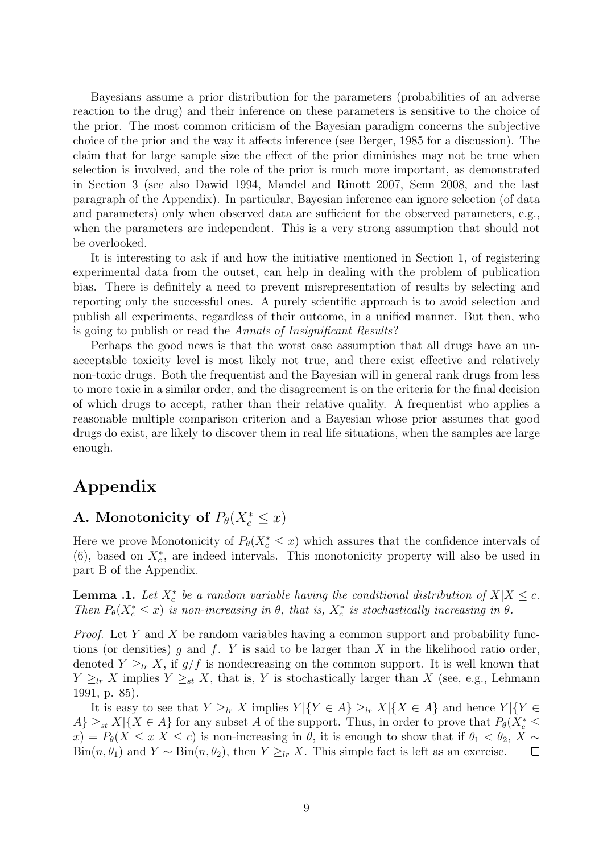Bayesians assume a prior distribution for the parameters (probabilities of an adverse reaction to the drug) and their inference on these parameters is sensitive to the choice of the prior. The most common criticism of the Bayesian paradigm concerns the subjective choice of the prior and the way it affects inference (see Berger, 1985 for a discussion). The claim that for large sample size the effect of the prior diminishes may not be true when selection is involved, and the role of the prior is much more important, as demonstrated in Section 3 (see also Dawid 1994, Mandel and Rinott 2007, Senn 2008, and the last paragraph of the Appendix). In particular, Bayesian inference can ignore selection (of data and parameters) only when observed data are sufficient for the observed parameters, e.g., when the parameters are independent. This is a very strong assumption that should not be overlooked.

It is interesting to ask if and how the initiative mentioned in Section 1, of registering experimental data from the outset, can help in dealing with the problem of publication bias. There is definitely a need to prevent misrepresentation of results by selecting and reporting only the successful ones. A purely scientific approach is to avoid selection and publish all experiments, regardless of their outcome, in a unified manner. But then, who is going to publish or read the Annals of Insignificant Results?

Perhaps the good news is that the worst case assumption that all drugs have an unacceptable toxicity level is most likely not true, and there exist effective and relatively non-toxic drugs. Both the frequentist and the Bayesian will in general rank drugs from less to more toxic in a similar order, and the disagreement is on the criteria for the final decision of which drugs to accept, rather than their relative quality. A frequentist who applies a reasonable multiple comparison criterion and a Bayesian whose prior assumes that good drugs do exist, are likely to discover them in real life situations, when the samples are large enough.

### Appendix

## A. Monotonicity of  $P_{\theta}(X_c^* \leq x)$

Here we prove Monotonicity of  $P_{\theta}(X_c^* \leq x)$  which assures that the confidence intervals of (6), based on  $X_c^*$ , are indeed intervals. This monotonicity property will also be used in part B of the Appendix.

**Lemma .1.** Let  $X_c^*$  be a random variable having the conditional distribution of  $X|X \leq c$ . Then  $P_{\theta}(X_c^* \leq x)$  is non-increasing in  $\theta$ , that is,  $X_c^*$  is stochastically increasing in  $\theta$ .

*Proof.* Let Y and X be random variables having a common support and probability functions (or densities) g and f. Y is said to be larger than X in the likelihood ratio order, denoted  $Y \geq_{lr} X$ , if  $g/f$  is nondecreasing on the common support. It is well known that  $Y \ge_{lr} X$  implies  $Y \ge_{st} X$ , that is, Y is stochastically larger than X (see, e.g., Lehmann 1991, p. 85).

It is easy to see that  $Y \ge_{lr} X$  implies  $Y | \{ Y \in A \} \ge_{lr} X | \{ X \in A \}$  and hence  $Y | \{ Y \in A \} \ge_{lr} X |$  $A\} \geq_{st} X \mid \{X \in A\}$  for any subset A of the support. Thus, in order to prove that  $P_{\theta}(X_c^* \leq$  $x) = P_{\theta}(X \le x | X \le c)$  is non-increasing in  $\theta$ , it is enough to show that if  $\theta_1 < \theta_2$ ,  $X \sim$ Bin $(n, \theta_1)$  and  $Y \sim \text{Bin}(n, \theta_2)$ , then  $Y \geq_{lr} X$ . This simple fact is left as an exercise. **Contract Contract State**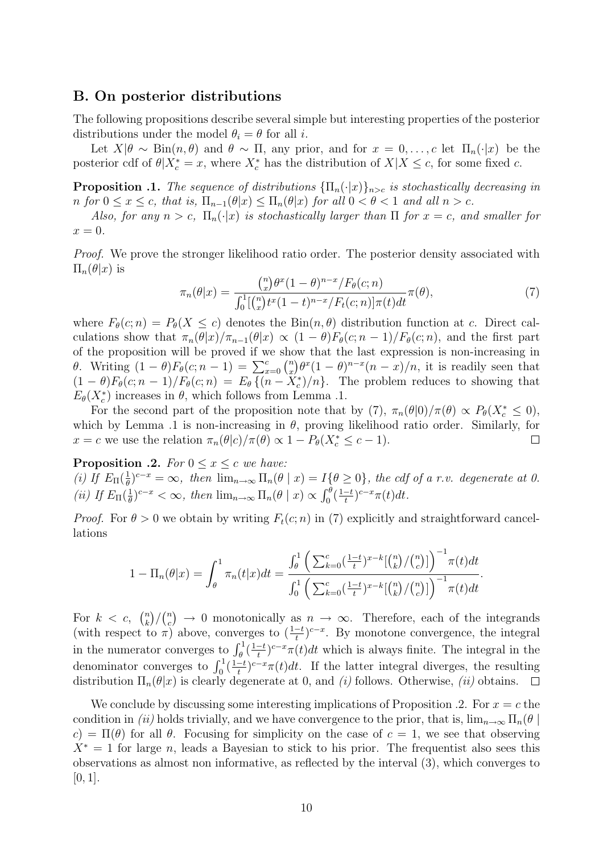#### B. On posterior distributions

The following propositions describe several simple but interesting properties of the posterior distributions under the model  $\theta_i = \theta$  for all *i*.

Let  $X|\theta \sim Bin(n, \theta)$  and  $\theta \sim \Pi$ , any prior, and for  $x = 0, \ldots, c$  let  $\Pi_n(\cdot|x)$  be the posterior cdf of  $\theta | X_c^* = x$ , where  $X_c^*$  has the distribution of  $X | X \leq c$ , for some fixed c.

**Proposition .1.** The sequence of distributions  $\{\Pi_n(\cdot|x)\}_{n>c}$  is stochastically decreasing in n for  $0 \le x \le c$ , that is,  $\Pi_{n-1}(\theta|x) \le \Pi_n(\theta|x)$  for all  $0 < \theta < 1$  and all  $n > c$ .

Also, for any  $n > c$ ,  $\Pi_n(\cdot|x)$  is stochastically larger than  $\Pi$  for  $x = c$ , and smaller for  $x=0.$ 

Proof. We prove the stronger likelihood ratio order. The posterior density associated with  $\Pi_n(\theta|x)$  is ¡ ¢

$$
\pi_n(\theta|x) = \frac{\binom{n}{x}\theta^x (1-\theta)^{n-x} / F_{\theta}(c;n)}{\int_0^1 \binom{n}{x} t^x (1-t)^{n-x} / F_t(c;n) \pi(t) dt} \pi(\theta),\tag{7}
$$

where  $F_{\theta}(c; n) = P_{\theta}(X \leq c)$  denotes the  $\text{Bin}(n, \theta)$  distribution function at c. Direct calculations show that  $\pi_n(\theta|x)/\pi_{n-1}(\theta|x) \propto (1-\theta)F_\theta(c;n-1)/F_\theta(c;n)$ , and the first part of the proposition will be proved if we show that the last expression is non-increasing in or the proposition will be proved if we shad.<br>  $θ$ . Writing  $(1 - θ)Fθ(c; n - 1) = \sum_{x=0}^{c} {n \choose x}$  $\int_{x}^{n} \theta^{x} (1 - \theta)^{n-x} (n - x) / n$ , it is readily seen that  $(1 - \theta) F_{\theta}(c; n - 1) / F_{\theta}(c; n) = E_{\theta} \{ (n - \tilde{X}_c^*)/n \}.$  The problem reduces to showing that  $E_{\theta}(X_c^*)$  increases in  $\theta$ , which follows from Lemma .1.

For the second part of the proposition note that by (7),  $\pi_n(\theta|0)/\pi(\theta) \propto P_\theta(X_c^* \leq 0)$ , which by Lemma .1 is non-increasing in  $\theta$ , proving likelihood ratio order. Similarly, for  $x = c$  we use the relation  $\pi_n(\theta|c)/\pi(\theta) \propto 1 - P_\theta(X_c^* \leq c - 1)$ . П

**Proposition .2.** For  $0 \le x \le c$  we have:

(*i*) If  $E_{\Pi}(\frac{1}{\theta})$  $\frac{1}{\theta}$ )<sup>c-x</sup> = ∞, then  $\lim_{n\to\infty} \Pi_n(\theta | x) = I\{\theta \ge 0\}$ , the cdf of a r.v. degenerate at 0. (*ii*) If  $E_{\Pi}(\frac{1}{\theta})$  $\frac{1}{\theta}$ )<sup>c-x</sup> < ∞, then  $\lim_{n\to\infty} \Pi_n(\theta \mid x) \propto$  $\frac{1}{r}$ θ  $\int_0^\theta \left(\frac{1-t}{t}\right)$  $\frac{-t}{t}$ )<sup>c-x</sup> $\pi(t)dt$ .

*Proof.* For  $\theta > 0$  we obtain by writing  $F_t(c; n)$  in (7) explicitly and straightforward cancellations

$$
1 - \Pi_n(\theta|x) = \int_{\theta}^1 \pi_n(t|x)dt = \frac{\int_{\theta}^1 \left( \sum_{k=0}^c \left( \frac{1-t}{t} \right)^{x-k} \left[ \binom{n}{k} / \binom{n}{c} \right] \right)^{-1} \pi(t)dt}{\int_0^1 \left( \sum_{k=0}^c \left( \frac{1-t}{t} \right)^{x-k} \left[ \binom{n}{k} / \binom{n}{c} \right] \right)^{-1} \pi(t)dt}.
$$

 $\sqrt{n}$ ¢  $\sqrt{n}$ ¢ For  $k < c$ , /  $\rightarrow$  0 monotonically as  $n \rightarrow \infty$ . Therefore, each of the integrands k c (with respect to  $\pi$ ) above, converges to  $(\frac{1-t}{t})^{c-x}$ . By monotone convergence, the integral (with respect to *n*) above, converges<br>in the numerator converges to  $\int_{\theta}^{1}(\frac{1-t}{t})dt$  $\frac{-t}{t}$ <sup>o-x</sup>π(t)dt which is always finite. The integral in the denominator converges to  $\int_0^1 \left(\frac{1-t}{t}\right)$  $\frac{-t}{t}$ <sup>o-x</sup>π(t)dt. If the latter integral diverges, the resulting distribution  $\Pi_n(\theta|x)$  is clearly degenerate at 0, and *(i)* follows. Otherwise, *(ii)* obtains.  $\Box$ 

We conclude by discussing some interesting implications of Proposition .2. For  $x = c$  the condition in (ii) holds trivially, and we have convergence to the prior, that is,  $\lim_{n\to\infty} \Pi_n(\theta)$ c) =  $\Pi(\theta)$  for all  $\theta$ . Focusing for simplicity on the case of  $c = 1$ , we see that observing  $X^* = 1$  for large n, leads a Bayesian to stick to his prior. The frequentist also sees this observations as almost non informative, as reflected by the interval (3), which converges to  $[0, 1].$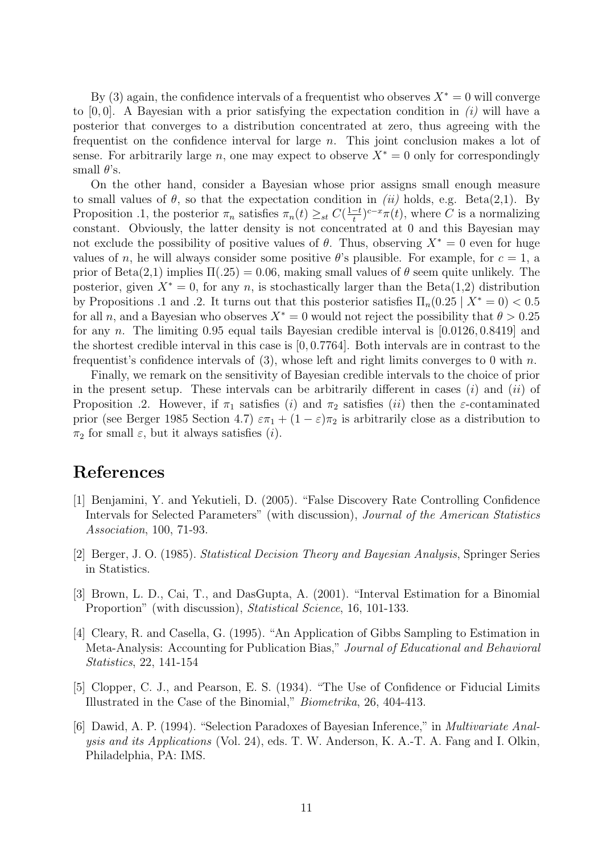By (3) again, the confidence intervals of a frequentist who observes  $X^* = 0$  will converge to  $[0, 0]$ . A Bayesian with a prior satisfying the expectation condition in  $(i)$  will have a posterior that converges to a distribution concentrated at zero, thus agreeing with the frequentist on the confidence interval for large  $n$ . This joint conclusion makes a lot of sense. For arbitrarily large n, one may expect to observe  $X^* = 0$  only for correspondingly small  $\theta$ 's.

On the other hand, consider a Bayesian whose prior assigns small enough measure to small values of  $\theta$ , so that the expectation condition in *(ii)* holds, e.g. Beta(2,1). By Proposition .1, the posterior  $\pi_n$  satisfies  $\pi_n(t) \geq_{st} C(\frac{1-t}{t})$  $\frac{-t}{t}$ <sup>o- $x\pi(t)$ </sup>, where C is a normalizing constant. Obviously, the latter density is not concentrated at 0 and this Bayesian may not exclude the possibility of positive values of  $\theta$ . Thus, observing  $X^* = 0$  even for huge values of n, he will always consider some positive  $\theta$ 's plausible. For example, for  $c = 1$ , a prior of Beta(2,1) implies  $\Pi(.25) = 0.06$ , making small values of  $\theta$  seem quite unlikely. The posterior, given  $X^* = 0$ , for any n, is stochastically larger than the Beta(1,2) distribution by Propositions .1 and .2. It turns out that this posterior satisfies  $\Pi_n(0.25 \mid X^* = 0) < 0.5$ for all n, and a Bayesian who observes  $X^* = 0$  would not reject the possibility that  $\theta > 0.25$ for any n. The limiting 0.95 equal tails Bayesian credible interval is  $[0.0126, 0.8419]$  and the shortest credible interval in this case is  $[0, 0.7764]$ . Both intervals are in contrast to the frequentist's confidence intervals of  $(3)$ , whose left and right limits converges to 0 with n.

Finally, we remark on the sensitivity of Bayesian credible intervals to the choice of prior in the present setup. These intervals can be arbitrarily different in cases  $(i)$  and  $(ii)$  of Proposition .2. However, if  $\pi_1$  satisfies (i) and  $\pi_2$  satisfies (ii) then the *ε*-contaminated prior (see Berger 1985 Section 4.7)  $\varepsilon \pi_1 + (1 - \varepsilon) \pi_2$  is arbitrarily close as a distribution to  $\pi_2$  for small  $\varepsilon$ , but it always satisfies (*i*).

#### References

- [1] Benjamini, Y. and Yekutieli, D. (2005). "False Discovery Rate Controlling Confidence Intervals for Selected Parameters" (with discussion), Journal of the American Statistics Association, 100, 71-93.
- [2] Berger, J. O. (1985). Statistical Decision Theory and Bayesian Analysis, Springer Series in Statistics.
- [3] Brown, L. D., Cai, T., and DasGupta, A. (2001). "Interval Estimation for a Binomial Proportion" (with discussion), *Statistical Science*, 16, 101-133.
- [4] Cleary, R. and Casella, G. (1995). "An Application of Gibbs Sampling to Estimation in Meta-Analysis: Accounting for Publication Bias," Journal of Educational and Behavioral Statistics, 22, 141-154
- [5] Clopper, C. J., and Pearson, E. S. (1934). "The Use of Confidence or Fiducial Limits Illustrated in the Case of the Binomial," Biometrika, 26, 404-413.
- [6] Dawid, A. P. (1994). "Selection Paradoxes of Bayesian Inference," in Multivariate Analysis and its Applications (Vol. 24), eds. T. W. Anderson, K. A.-T. A. Fang and I. Olkin, Philadelphia, PA: IMS.